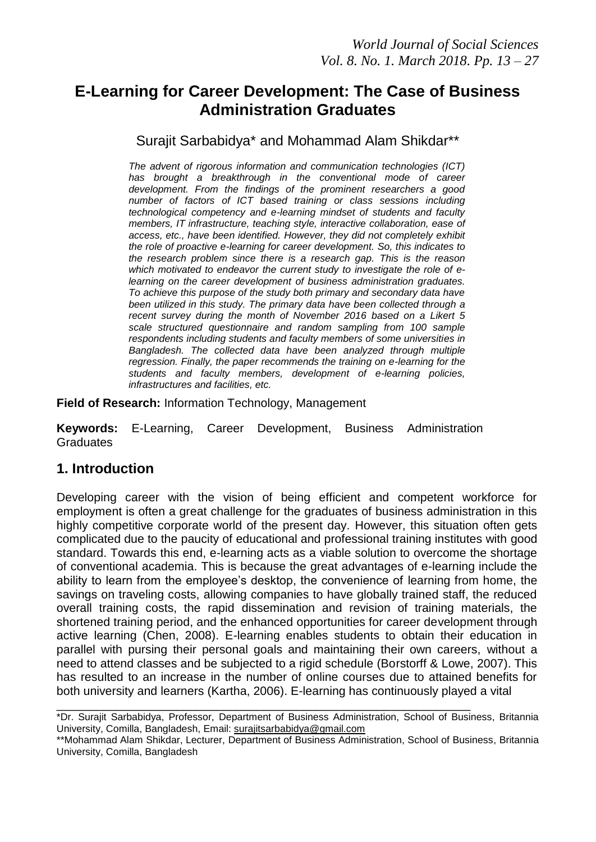# **E-Learning for Career Development: The Case of Business Administration Graduates**

Surajit Sarbabidya\* and Mohammad Alam Shikdar\*\*

*The advent of rigorous information and communication technologies (ICT)*  has brought a breakthrough in the conventional mode of career *development. From the findings of the prominent researchers a good number of factors of ICT based training or class sessions including technological competency and e-learning mindset of students and faculty members, IT infrastructure, teaching style, interactive collaboration, ease of access, etc., have been identified. However, they did not completely exhibit the role of proactive e-learning for career development. So, this indicates to the research problem since there is a research gap. This is the reason which motivated to endeavor the current study to investigate the role of elearning on the career development of business administration graduates. To achieve this purpose of the study both primary and secondary data have been utilized in this study. The primary data have been collected through a recent survey during the month of November 2016 based on a Likert 5 scale structured questionnaire and random sampling from 100 sample respondents including students and faculty members of some universities in Bangladesh. The collected data have been analyzed through multiple regression. Finally, the paper recommends the training on e-learning for the students and faculty members, development of e-learning policies, infrastructures and facilities, etc.* 

**Field of Research:** Information Technology, Management

**Keywords:** E-Learning, Career Development, Business Administration **Graduates** 

### **1. Introduction**

Developing career with the vision of being efficient and competent workforce for employment is often a great challenge for the graduates of business administration in this highly competitive corporate world of the present day. However, this situation often gets complicated due to the paucity of educational and professional training institutes with good standard. Towards this end, e-learning acts as a viable solution to overcome the shortage of conventional academia. This is because the great advantages of e-learning include the ability to learn from the employee's desktop, the convenience of learning from home, the savings on traveling costs, allowing companies to have globally trained staff, the reduced overall training costs, the rapid dissemination and revision of training materials, the shortened training period, and the enhanced opportunities for career development through active learning (Chen, 2008). E-learning enables students to obtain their education in parallel with pursing their personal goals and maintaining their own careers, without a need to attend classes and be subjected to a rigid schedule (Borstorff & Lowe, 2007). This has resulted to an increase in the number of online courses due to attained benefits for both university and learners (Kartha, 2006). E-learning has continuously played a vital

\_\_\_\_\_\_\_\_\_\_\_\_\_\_\_\_\_\_\_\_\_\_\_\_\_\_\_\_\_\_\_\_\_\_\_\_\_\_\_\_\_\_\_\_\_\_\_\_\_\_\_\_\_\_\_\_\_\_\_\_\_\_

<sup>\*</sup>Dr. Surajit Sarbabidya, Professor, Department of Business Administration, School of Business, Britannia University, Comilla, Bangladesh, Email: [surajitsarbabidya@gmail.com](mailto:surajitsarbabidya@gmail.com)

<sup>\*\*</sup>Mohammad Alam Shikdar, Lecturer, Department of Business Administration, School of Business, Britannia University, Comilla, Bangladesh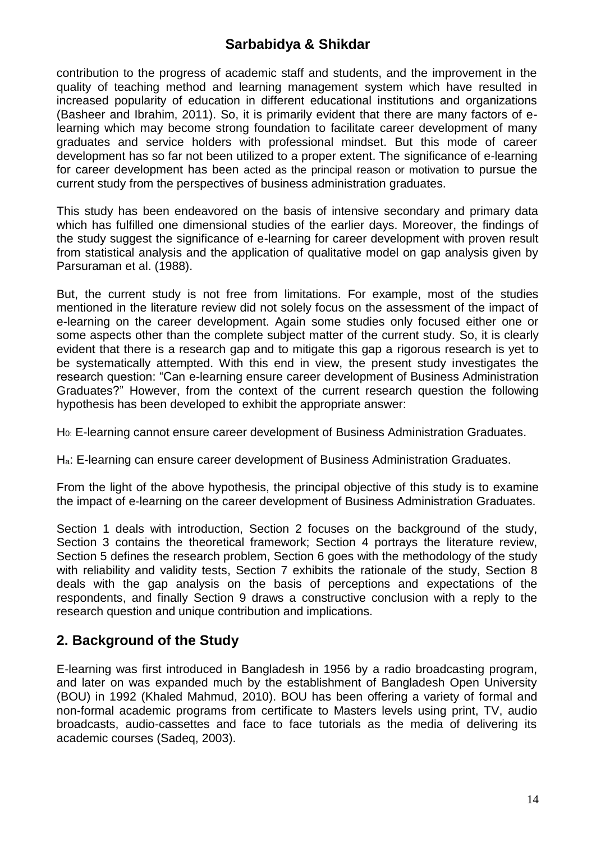contribution to the progress of academic staff and students, and the improvement in the quality of teaching method and learning management system which have resulted in increased popularity of education in different educational institutions and organizations (Basheer and Ibrahim, 2011). So, it is primarily evident that there are many factors of elearning which may become strong foundation to facilitate career development of many graduates and service holders with professional mindset. But this mode of career development has so far not been utilized to a proper extent. The significance of e-learning for career development has been acted as the principal reason or motivation to pursue the current study from the perspectives of business administration graduates.

This study has been endeavored on the basis of intensive secondary and primary data which has fulfilled one dimensional studies of the earlier days. Moreover, the findings of the study suggest the significance of e-learning for career development with proven result from statistical analysis and the application of qualitative model on gap analysis given by Parsuraman et al. (1988).

But, the current study is not free from limitations. For example, most of the studies mentioned in the literature review did not solely focus on the assessment of the impact of e-learning on the career development. Again some studies only focused either one or some aspects other than the complete subject matter of the current study. So, it is clearly evident that there is a research gap and to mitigate this gap a rigorous research is yet to be systematically attempted. With this end in view, the present study investigates the research question: "Can e-learning ensure career development of Business Administration Graduates?" However, from the context of the current research question the following hypothesis has been developed to exhibit the appropriate answer:

H0: E-learning cannot ensure career development of Business Administration Graduates.

Ha: E-learning can ensure career development of Business Administration Graduates.

From the light of the above hypothesis, the principal objective of this study is to examine the impact of e-learning on the career development of Business Administration Graduates.

Section 1 deals with introduction, Section 2 focuses on the background of the study, Section 3 contains the theoretical framework; Section 4 portrays the literature review, Section 5 defines the research problem, Section 6 goes with the methodology of the study with reliability and validity tests, Section 7 exhibits the rationale of the study, Section 8 deals with the gap analysis on the basis of perceptions and expectations of the respondents, and finally Section 9 draws a constructive conclusion with a reply to the research question and unique contribution and implications.

# **2. Background of the Study**

E-learning was first introduced in Bangladesh in 1956 by a radio broadcasting program, and later on was expanded much by the establishment of Bangladesh Open University (BOU) in 1992 (Khaled Mahmud, 2010). BOU has been offering a variety of formal and non-formal academic programs from certificate to Masters levels using print, TV, audio broadcasts, audio-cassettes and face to face tutorials as the media of delivering its academic courses (Sadeq, 2003).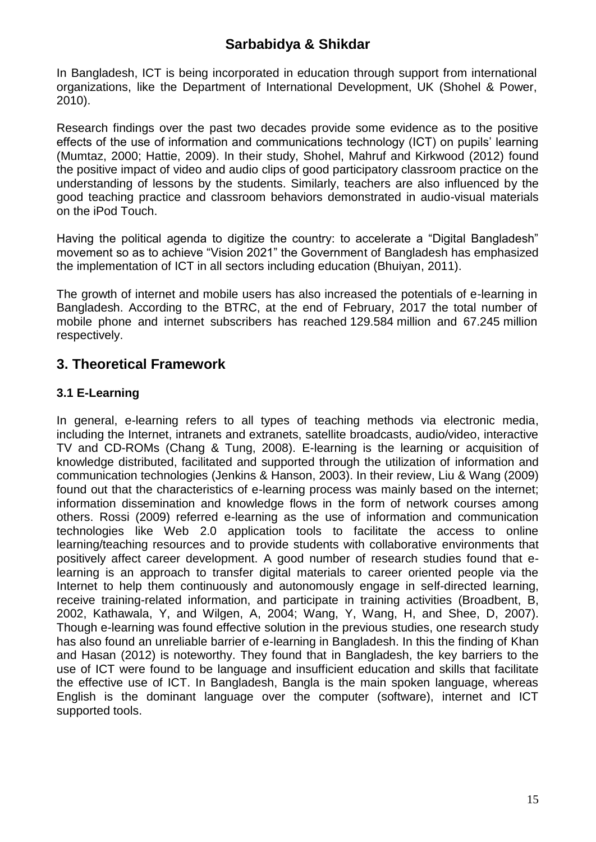In Bangladesh, ICT is being incorporated in education through support from international organizations, like the Department of International Development, UK (Shohel & Power, 2010).

Research findings over the past two decades provide some evidence as to the positive effects of the use of information and communications technology (ICT) on pupils' learning (Mumtaz, 2000; Hattie, 2009). In their study, Shohel, Mahruf and Kirkwood (2012) found the positive impact of video and audio clips of good participatory classroom practice on the understanding of lessons by the students. Similarly, teachers are also influenced by the good teaching practice and classroom behaviors demonstrated in audio-visual materials on the iPod Touch.

Having the political agenda to digitize the country: to accelerate a "Digital Bangladesh" movement so as to achieve "Vision 2021" the Government of Bangladesh has emphasized the implementation of ICT in all sectors including education (Bhuiyan, 2011).

The growth of internet and mobile users has also increased the potentials of e-learning in Bangladesh. According to the BTRC, at the end of February, 2017 the total number of mobile phone and internet subscribers has reached 129.584 million and 67.245 million respectively.

# **3. Theoretical Framework**

### **3.1 E-Learning**

In general, e-learning refers to all types of teaching methods via electronic media, including the Internet, intranets and extranets, satellite broadcasts, audio/video, interactive TV and CD-ROMs (Chang & Tung, 2008). E-learning is the learning or acquisition of knowledge distributed, facilitated and supported through the utilization of information and communication technologies (Jenkins & Hanson, 2003). In their review, Liu & Wang (2009) found out that the characteristics of e-learning process was mainly based on the internet; information dissemination and knowledge flows in the form of network courses among others. Rossi (2009) referred e-learning as the use of information and communication technologies like Web 2.0 application tools to facilitate the access to online learning/teaching resources and to provide students with collaborative environments that positively affect career development. A good number of research studies found that elearning is an approach to transfer digital materials to career oriented people via the Internet to help them continuously and autonomously engage in self-directed learning, receive training-related information, and participate in training activities (Broadbent, B, 2002, Kathawala, Y, and Wilgen, A, 2004; Wang, Y, Wang, H, and Shee, D, 2007). Though e-learning was found effective solution in the previous studies, one research study has also found an unreliable barrier of e-learning in Bangladesh. In this the finding of Khan and Hasan (2012) is noteworthy. They found that in Bangladesh, the key barriers to the use of ICT were found to be language and insufficient education and skills that facilitate the effective use of ICT. In Bangladesh, Bangla is the main spoken language, whereas English is the dominant language over the computer (software), internet and ICT supported tools.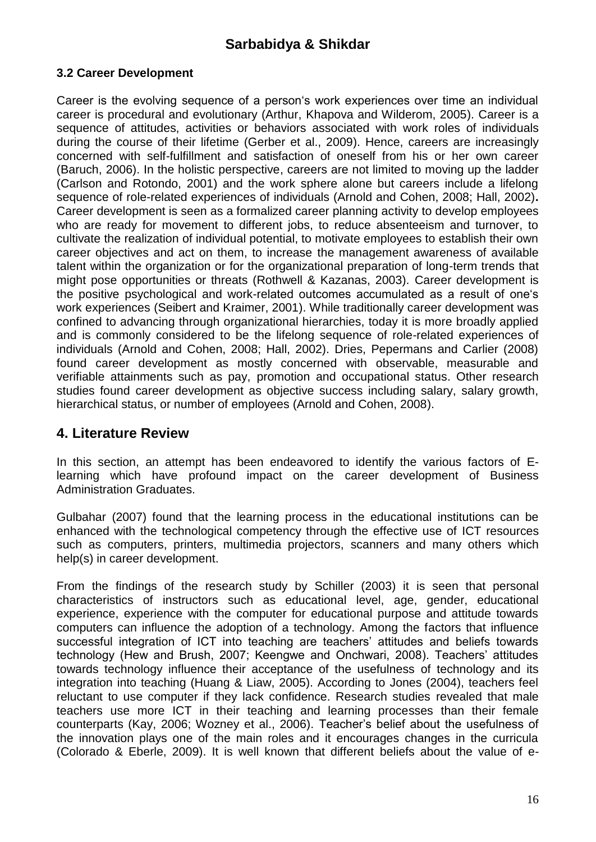### **3.2 Career Development**

Career is the evolving sequence of a person's work experiences over time an individual career is procedural and evolutionary (Arthur, Khapova and Wilderom, 2005). Career is a sequence of attitudes, activities or behaviors associated with work roles of individuals during the course of their lifetime (Gerber et al., 2009). Hence, careers are increasingly concerned with self-fulfillment and satisfaction of oneself from his or her own career (Baruch, 2006). In the holistic perspective, careers are not limited to moving up the ladder (Carlson and Rotondo, 2001) and the work sphere alone but careers include a lifelong sequence of role-related experiences of individuals (Arnold and Cohen, 2008; Hall, 2002)**.**  Career development is seen as a formalized career planning activity to develop employees who are ready for movement to different jobs, to reduce absenteeism and turnover, to cultivate the realization of individual potential, to motivate employees to establish their own career objectives and act on them, to increase the management awareness of available talent within the organization or for the organizational preparation of long-term trends that might pose opportunities or threats (Rothwell & Kazanas, 2003). Career development is the positive psychological and work-related outcomes accumulated as a result of one's work experiences (Seibert and Kraimer, 2001). While traditionally career development was confined to advancing through organizational hierarchies, today it is more broadly applied and is commonly considered to be the lifelong sequence of role-related experiences of individuals (Arnold and Cohen, 2008; Hall, 2002). Dries, Pepermans and Carlier (2008) found career development as mostly concerned with observable, measurable and verifiable attainments such as pay, promotion and occupational status. Other research studies found career development as objective success including salary, salary growth, hierarchical status, or number of employees (Arnold and Cohen, 2008).

### **4. Literature Review**

In this section, an attempt has been endeavored to identify the various factors of Elearning which have profound impact on the career development of Business Administration Graduates.

Gulbahar (2007) found that the learning process in the educational institutions can be enhanced with the technological competency through the effective use of ICT resources such as computers, printers, multimedia projectors, scanners and many others which help(s) in career development.

From the findings of the research study by Schiller (2003) it is seen that personal characteristics of instructors such as educational level, age, gender, educational experience, experience with the computer for educational purpose and attitude towards computers can influence the adoption of a technology. Among the factors that influence successful integration of ICT into teaching are teachers' attitudes and beliefs towards technology (Hew and Brush, 2007; Keengwe and Onchwari, 2008). Teachers' attitudes towards technology influence their acceptance of the usefulness of technology and its integration into teaching (Huang & Liaw, 2005). According to Jones (2004), teachers feel reluctant to use computer if they lack confidence. Research studies revealed that male teachers use more ICT in their teaching and learning processes than their female counterparts (Kay, 2006; Wozney et al., 2006). Teacher's belief about the usefulness of the innovation plays one of the main roles and it encourages changes in the curricula (Colorado & Eberle, 2009). It is well known that different beliefs about the value of e-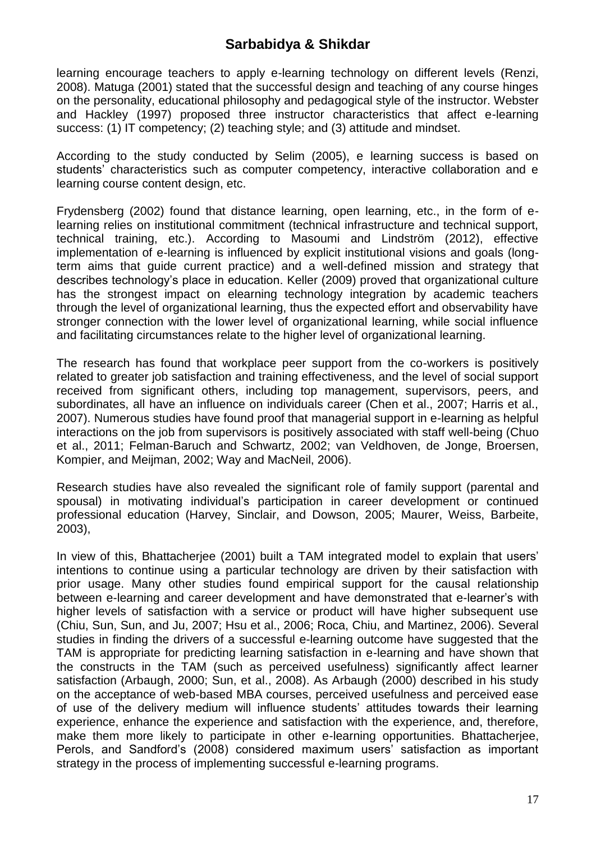learning encourage teachers to apply e-learning technology on different levels (Renzi, 2008). Matuga (2001) stated that the successful design and teaching of any course hinges on the personality, educational philosophy and pedagogical style of the instructor. Webster and Hackley (1997) proposed three instructor characteristics that affect e-learning success: (1) IT competency; (2) teaching style; and (3) attitude and mindset.

According to the study conducted by Selim (2005), e learning success is based on students' characteristics such as computer competency, interactive collaboration and e learning course content design, etc.

Frydensberg (2002) found that distance learning, open learning, etc., in the form of elearning relies on institutional commitment (technical infrastructure and technical support, technical training, etc.). According to Masoumi and Lindström (2012), effective implementation of e-learning is influenced by explicit institutional visions and goals (longterm aims that guide current practice) and a well-defined mission and strategy that describes technology's place in education. Keller (2009) proved that organizational culture has the strongest impact on elearning technology integration by academic teachers through the level of organizational learning, thus the expected effort and observability have stronger connection with the lower level of organizational learning, while social influence and facilitating circumstances relate to the higher level of organizational learning.

The research has found that workplace peer support from the co-workers is positively related to greater job satisfaction and training effectiveness, and the level of social support received from significant others, including top management, supervisors, peers, and subordinates, all have an influence on individuals career (Chen et al., 2007; Harris et al., 2007). Numerous studies have found proof that managerial support in e-learning as helpful interactions on the job from supervisors is positively associated with staff well-being (Chuo et al., 2011; Felman-Baruch and Schwartz, 2002; van Veldhoven, de Jonge, Broersen, Kompier, and Meijman, 2002; Way and MacNeil, 2006).

Research studies have also revealed the significant role of family support (parental and spousal) in motivating individual's participation in career development or continued professional education (Harvey, Sinclair, and Dowson, 2005; Maurer, Weiss, Barbeite, 2003),

In view of this, Bhattacherjee (2001) built a TAM integrated model to explain that users' intentions to continue using a particular technology are driven by their satisfaction with prior usage. Many other studies found empirical support for the causal relationship between e-learning and career development and have demonstrated that e-learner's with higher levels of satisfaction with a service or product will have higher subsequent use (Chiu, Sun, Sun, and Ju, 2007; Hsu et al., 2006; Roca, Chiu, and Martinez, 2006). Several studies in finding the drivers of a successful e-learning outcome have suggested that the TAM is appropriate for predicting learning satisfaction in e-learning and have shown that the constructs in the TAM (such as perceived usefulness) significantly affect learner satisfaction (Arbaugh, 2000; Sun, et al., 2008). As Arbaugh (2000) described in his study on the acceptance of web-based MBA courses, perceived usefulness and perceived ease of use of the delivery medium will influence students' attitudes towards their learning experience, enhance the experience and satisfaction with the experience, and, therefore, make them more likely to participate in other e-learning opportunities. Bhattacherjee, Perols, and Sandford's (2008) considered maximum users' satisfaction as important strategy in the process of implementing successful e-learning programs.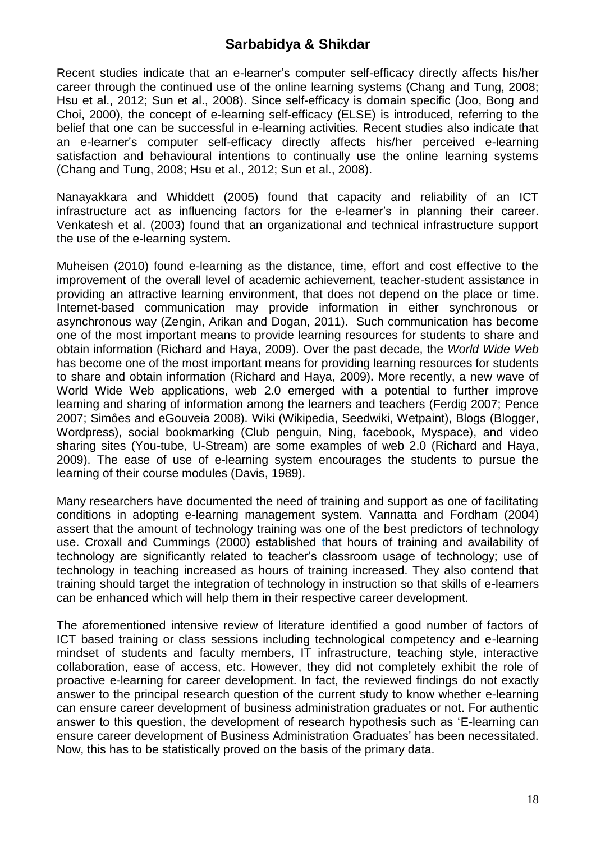Recent studies indicate that an e-learner's computer self-efficacy directly affects his/her career through the continued use of the online learning systems (Chang and Tung, 2008; Hsu et al., 2012; Sun et al., 2008). Since self-efficacy is domain specific (Joo, Bong and Choi, 2000), the concept of e-learning self-efficacy (ELSE) is introduced, referring to the belief that one can be successful in e-learning activities. Recent studies also indicate that an e-learner's computer self-efficacy directly affects his/her perceived e-learning satisfaction and behavioural intentions to continually use the online learning systems (Chang and Tung, 2008; Hsu et al., 2012; Sun et al., 2008).

Nanayakkara and Whiddett (2005) found that capacity and reliability of an ICT infrastructure act as influencing factors for the e-learner's in planning their career. Venkatesh et al. (2003) found that an organizational and technical infrastructure support the use of the e-learning system.

Muheisen (2010) found e-learning as the distance, time, effort and cost effective to the improvement of the overall level of academic achievement, teacher-student assistance in providing an attractive learning environment, that does not depend on the place or time. Internet-based communication may provide information in either synchronous or asynchronous way (Zengin, Arikan and Dogan, 2011). Such communication has become one of the most important means to provide learning resources for students to share and obtain information (Richard and Haya, 2009). Over the past decade, the *World Wide Web*  has become one of the most important means for providing learning resources for students to share and obtain information (Richard and Haya, 2009)**.** More recently, a new wave of World Wide Web applications, web 2.0 emerged with a potential to further improve learning and sharing of information among the learners and teachers (Ferdig 2007; Pence 2007; Simôes and eGouveia 2008). Wiki (Wikipedia, Seedwiki, Wetpaint), Blogs (Blogger, Wordpress), social bookmarking (Club penguin, Ning, facebook, Myspace), and video sharing sites (You-tube, U-Stream) are some examples of web 2.0 (Richard and Haya, 2009). The ease of use of e-learning system encourages the students to pursue the learning of their course modules (Davis, 1989).

Many researchers have documented the need of training and support as one of facilitating conditions in adopting e-learning management system. Vannatta and Fordham (2004) assert that the amount of technology training was one of the best predictors of technology use. Croxall and Cummings (2000) established that hours of training and availability of technology are significantly related to teacher's classroom usage of technology; use of technology in teaching increased as hours of training increased. They also contend that training should target the integration of technology in instruction so that skills of e-learners can be enhanced which will help them in their respective career development.

The aforementioned intensive review of literature identified a good number of factors of ICT based training or class sessions including technological competency and e-learning mindset of students and faculty members, IT infrastructure, teaching style, interactive collaboration, ease of access, etc. However, they did not completely exhibit the role of proactive e-learning for career development. In fact, the reviewed findings do not exactly answer to the principal research question of the current study to know whether e-learning can ensure career development of business administration graduates or not. For authentic answer to this question, the development of research hypothesis such as 'E-learning can ensure career development of Business Administration Graduates' has been necessitated. Now, this has to be statistically proved on the basis of the primary data.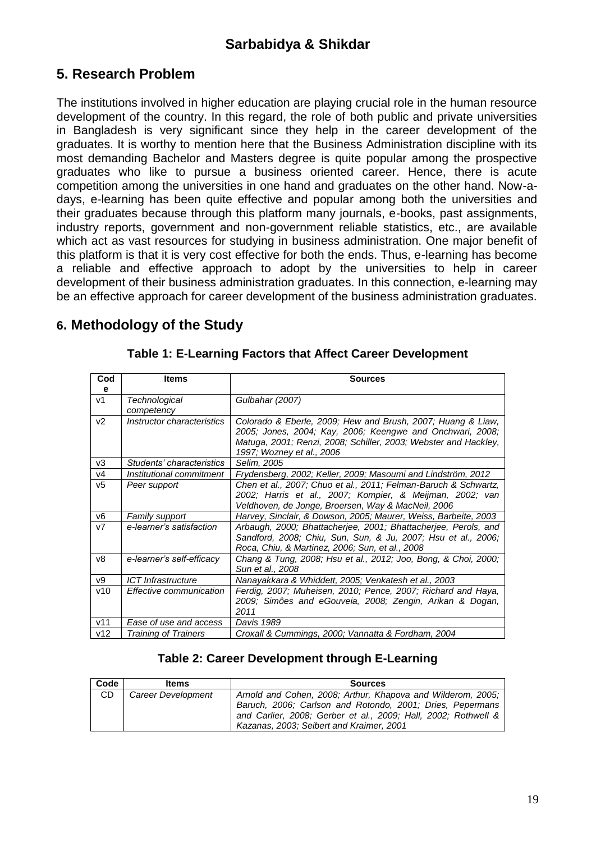# **5. Research Problem**

The institutions involved in higher education are playing crucial role in the human resource development of the country. In this regard, the role of both public and private universities in Bangladesh is very significant since they help in the career development of the graduates. It is worthy to mention here that the Business Administration discipline with its most demanding Bachelor and Masters degree is quite popular among the prospective graduates who like to pursue a business oriented career. Hence, there is acute competition among the universities in one hand and graduates on the other hand. Now-adays, e-learning has been quite effective and popular among both the universities and their graduates because through this platform many journals, e-books, past assignments, industry reports, government and non-government reliable statistics, etc., are available which act as vast resources for studying in business administration. One major benefit of this platform is that it is very cost effective for both the ends. Thus, e-learning has become a reliable and effective approach to adopt by the universities to help in career development of their business administration graduates. In this connection, e-learning may be an effective approach for career development of the business administration graduates.

# **6. Methodology of the Study**

| Cod<br>е       | <b>Items</b>                | <b>Sources</b>                                                                                                                                                                                                           |  |  |  |  |  |
|----------------|-----------------------------|--------------------------------------------------------------------------------------------------------------------------------------------------------------------------------------------------------------------------|--|--|--|--|--|
| V <sub>1</sub> | Technological<br>competency | Gulbahar (2007)                                                                                                                                                                                                          |  |  |  |  |  |
| V <sub>2</sub> | Instructor characteristics  | Colorado & Eberle, 2009; Hew and Brush, 2007; Huang & Liaw,<br>2005; Jones, 2004; Kay, 2006; Keengwe and Onchwari, 2008;<br>Matuga, 2001; Renzi, 2008; Schiller, 2003; Webster and Hackley,<br>1997; Wozney et al., 2006 |  |  |  |  |  |
| v3             | Students' characteristics   | Selim, 2005                                                                                                                                                                                                              |  |  |  |  |  |
| v4             | Institutional commitment    | Frydensberg, 2002; Keller, 2009; Masoumi and Lindström, 2012                                                                                                                                                             |  |  |  |  |  |
| v5             | Peer support                | Chen et al., 2007; Chuo et al., 2011; Felman-Baruch & Schwartz,<br>2002; Harris et al., 2007; Kompier, & Meijman, 2002; van<br>Veldhoven, de Jonge, Broersen, Way & MacNeil, 2006                                        |  |  |  |  |  |
| v6             | Family support              | Harvey, Sinclair, & Dowson, 2005; Maurer, Weiss, Barbeite, 2003                                                                                                                                                          |  |  |  |  |  |
| V <sub>7</sub> | e-learner's satisfaction    | Arbaugh, 2000; Bhattacherjee, 2001; Bhattacherjee, Perols, and<br>Sandford, 2008; Chiu, Sun, Sun, & Ju, 2007; Hsu et al., 2006;<br>Roca, Chiu, & Martinez, 2006; Sun, et al., 2008                                       |  |  |  |  |  |
| v8             | e-learner's self-efficacy   | Chang & Tung, 2008; Hsu et al., 2012; Joo, Bong, & Choi, 2000;<br>Sun et al., 2008                                                                                                                                       |  |  |  |  |  |
| v9             | ICT Infrastructure          | Nanayakkara & Whiddett, 2005; Venkatesh et al., 2003                                                                                                                                                                     |  |  |  |  |  |
| v10            | Effective communication     | Ferdig, 2007; Muheisen, 2010; Pence, 2007; Richard and Haya,<br>2009; Simôes and eGouveia, 2008; Zengin, Arikan & Dogan,<br>2011                                                                                         |  |  |  |  |  |
| v11            | Ease of use and access      | Davis 1989                                                                                                                                                                                                               |  |  |  |  |  |
| v12            | Training of Trainers        | Croxall & Cummings, 2000; Vannatta & Fordham, 2004                                                                                                                                                                       |  |  |  |  |  |

#### **Table 1: E-Learning Factors that Affect Career Development**

### **Table 2: Career Development through E-Learning**

| Code | <b>Items</b>       | <b>Sources</b>                                                                                                                                                                                                                         |  |  |  |  |
|------|--------------------|----------------------------------------------------------------------------------------------------------------------------------------------------------------------------------------------------------------------------------------|--|--|--|--|
| CD   | Career Development | Arnold and Cohen, 2008; Arthur, Khapova and Wilderom, 2005;<br>Baruch, 2006; Carlson and Rotondo, 2001; Dries, Pepermans<br>and Carlier, 2008; Gerber et al., 2009; Hall, 2002; Rothwell &<br>Kazanas, 2003; Seibert and Kraimer, 2001 |  |  |  |  |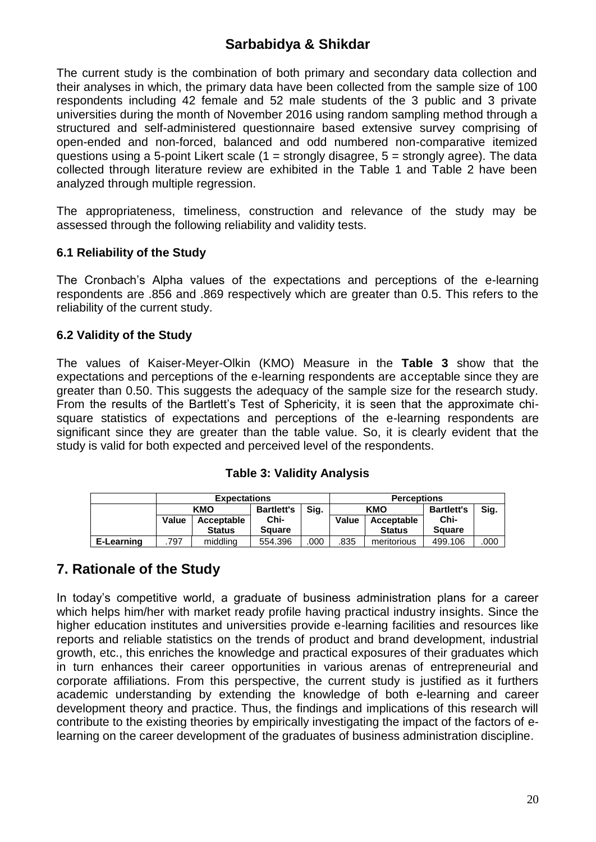The current study is the combination of both primary and secondary data collection and their analyses in which, the primary data have been collected from the sample size of 100 respondents including 42 female and 52 male students of the 3 public and 3 private universities during the month of November 2016 using random sampling method through a structured and self-administered questionnaire based extensive survey comprising of open-ended and non-forced, balanced and odd numbered non-comparative itemized questions using a 5-point Likert scale  $(1 =$  strongly disagree,  $5 =$  strongly agree). The data collected through literature review are exhibited in the Table 1 and Table 2 have been analyzed through multiple regression.

The appropriateness, timeliness, construction and relevance of the study may be assessed through the following reliability and validity tests.

#### **6.1 Reliability of the Study**

The Cronbach's Alpha values of the expectations and perceptions of the e-learning respondents are .856 and .869 respectively which are greater than 0.5. This refers to the reliability of the current study.

#### **6.2 Validity of the Study**

The values of Kaiser-Meyer-Olkin (KMO) Measure in the **Table 3** show that the expectations and perceptions of the e-learning respondents are acceptable since they are greater than 0.50. This suggests the adequacy of the sample size for the research study. From the results of the Bartlett's Test of Sphericity, it is seen that the approximate chisquare statistics of expectations and perceptions of the e-learning respondents are significant since they are greater than the table value. So, it is clearly evident that the study is valid for both expected and perceived level of the respondents.

#### **Table 3: Validity Analysis**

|            | <b>Expectations</b> |               |                   | <b>Perceptions</b> |            |               |                   |      |
|------------|---------------------|---------------|-------------------|--------------------|------------|---------------|-------------------|------|
|            | KMO                 |               | <b>Bartlett's</b> | Sig.               | <b>KMO</b> |               | <b>Bartlett's</b> | Sig. |
|            | Value               | Acceptable    | Chi-              |                    | Value      | Acceptable    | Chi-              |      |
|            |                     | <b>Status</b> | <b>Square</b>     |                    |            | <b>Status</b> | <b>Square</b>     |      |
| E-Learning | .797                | middling      | 554.396           | .000               | .835       | meritorious   | 499.106           | .000 |

# **7. Rationale of the Study**

In today's competitive world, a graduate of business administration plans for a career which helps him/her with market ready profile having practical industry insights. Since the higher education institutes and universities provide e-learning facilities and resources like reports and reliable statistics on the trends of product and brand development, industrial growth, etc., this enriches the knowledge and practical exposures of their graduates which in turn enhances their career opportunities in various arenas of entrepreneurial and corporate affiliations. From this perspective, the current study is justified as it furthers academic understanding by extending the knowledge of both e-learning and career development theory and practice. Thus, the findings and implications of this research will contribute to the existing theories by empirically investigating the impact of the factors of elearning on the career development of the graduates of business administration discipline.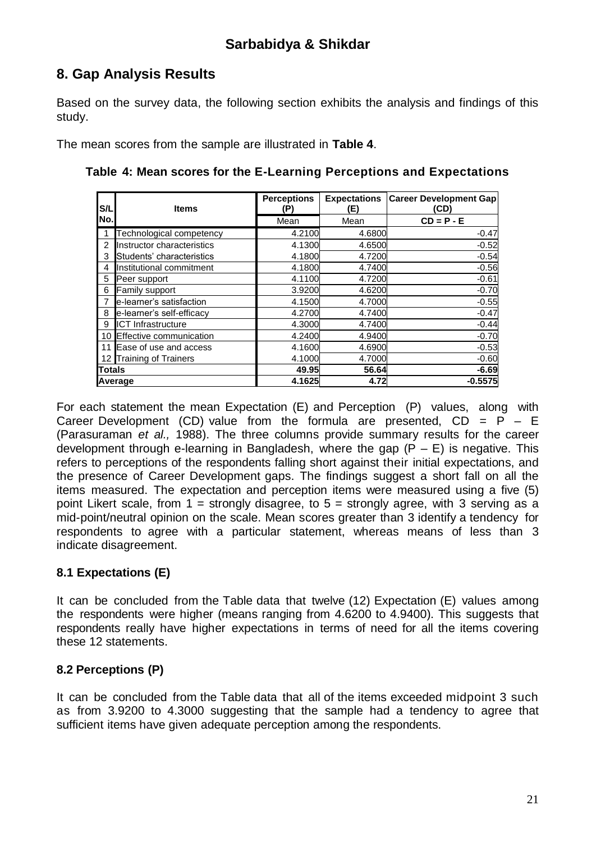# **8. Gap Analysis Results**

Based on the survey data, the following section exhibits the analysis and findings of this study.

The mean scores from the sample are illustrated in **Table 4**.

| S/L             | <b>Items</b>                    | <b>Perceptions</b><br>(P) | <b>Expectations</b><br>(E) | <b>Career Development Gap</b><br>(CD) |  |
|-----------------|---------------------------------|---------------------------|----------------------------|---------------------------------------|--|
| No.             |                                 | Mean                      | Mean                       | $CD = P - E$                          |  |
|                 | <b>Fechnological competency</b> | 4.2100                    | 4.6800                     | $-0.47$                               |  |
| $\overline{2}$  | Instructor characteristics      | 4.1300                    | 4.6500                     | $-0.52$                               |  |
| 3               | Students' characteristics       | 4.1800                    | 4.7200                     | $-0.54$                               |  |
| 4               | Institutional commitment        | 4.1800                    | 4.7400                     | $-0.56$                               |  |
| 5               | Peer support                    | 4.1100                    | 4.7200                     | $-0.61$                               |  |
| 6               | Family support                  | 3.9200                    | 4.6200                     | $-0.70$                               |  |
|                 | e-learner's satisfaction        | 4.1500                    | 4.7000                     | $-0.55$                               |  |
| 8               | e-learner's self-efficacy       | 4.2700                    | 4.7400                     | $-0.47$                               |  |
| 9               | <b>ICT Infrastructure</b>       | 4.3000                    | 4.7400                     | $-0.44$                               |  |
| 10              | Effective communication         | 4.2400                    | 4.9400                     | $-0.70$                               |  |
| 11              | Ease of use and access          | 4.1600                    | 4.6900                     | $-0.53$                               |  |
| 12 <sub>1</sub> | <b>Training of Trainers</b>     | 4.1000                    | 4.7000                     | $-0.60$                               |  |
| Totals          |                                 | 49.95                     | 56.64                      | $-6.69$                               |  |
| Average         |                                 | 4.1625                    | 4.72                       | $-0.5575$                             |  |

For each statement the mean Expectation (E) and Perception (P) values, along with Career Development (CD) value from the formula are presented,  $CD = P - E$ (Parasuraman *et al.,* 1988). The three columns provide summary results for the career development through e-learning in Bangladesh, where the gap  $(P - E)$  is negative. This refers to perceptions of the respondents falling short against their initial expectations, and the presence of Career Development gaps. The findings suggest a short fall on all the items measured. The expectation and perception items were measured using a five (5) point Likert scale, from  $1 =$  strongly disagree, to  $5 =$  strongly agree, with 3 serving as a mid-point/neutral opinion on the scale. Mean scores greater than 3 identify a tendency for respondents to agree with a particular statement, whereas means of less than 3 indicate disagreement.

# **8.1 Expectations (E)**

It can be concluded from the Table data that twelve (12) Expectation (E) values among the respondents were higher (means ranging from 4.6200 to 4.9400). This suggests that respondents really have higher expectations in terms of need for all the items covering these 12 statements.

# **8.2 Perceptions (P)**

It can be concluded from the Table data that all of the items exceeded midpoint 3 such as from 3.9200 to 4.3000 suggesting that the sample had a tendency to agree that sufficient items have given adequate perception among the respondents.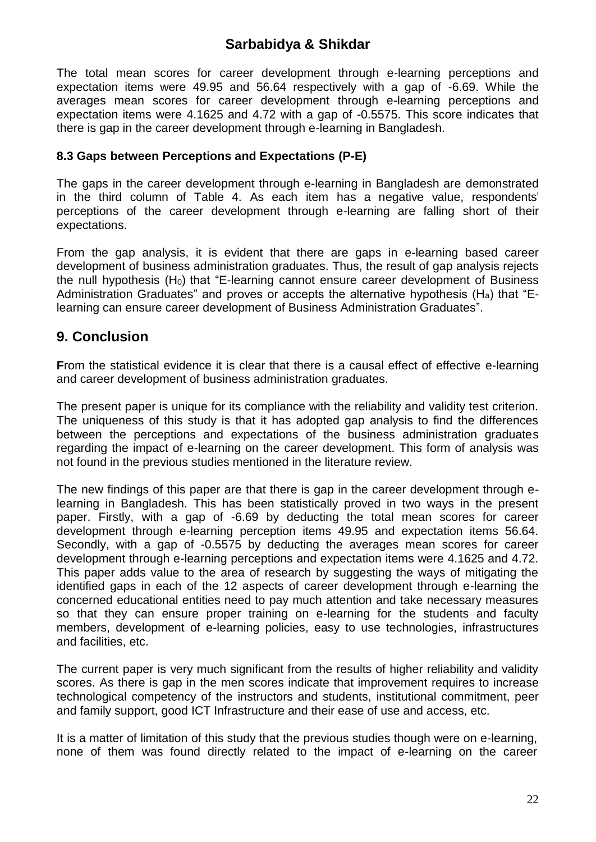The total mean scores for career development through e-learning perceptions and expectation items were 49.95 and 56.64 respectively with a gap of -6.69. While the averages mean scores for career development through e-learning perceptions and expectation items were 4.1625 and 4.72 with a gap of -0.5575. This score indicates that there is gap in the career development through e-learning in Bangladesh.

#### **8.3 Gaps between Perceptions and Expectations (P-E)**

The gaps in the career development through e-learning in Bangladesh are demonstrated in the third column of Table 4. As each item has a negative value, respondents' perceptions of the career development through e-learning are falling short of their expectations.

From the gap analysis, it is evident that there are gaps in e-learning based career development of business administration graduates. Thus, the result of gap analysis rejects the null hypothesis (H0) that "E-learning cannot ensure career development of Business Administration Graduates" and proves or accepts the alternative hypothesis (Ha) that "Elearning can ensure career development of Business Administration Graduates".

### **9. Conclusion**

**From the statistical evidence it is clear that there is a causal effect of effective e-learning** and career development of business administration graduates.

The present paper is unique for its compliance with the reliability and validity test criterion. The uniqueness of this study is that it has adopted gap analysis to find the differences between the perceptions and expectations of the business administration graduates regarding the impact of e-learning on the career development. This form of analysis was not found in the previous studies mentioned in the literature review.

The new findings of this paper are that there is gap in the career development through elearning in Bangladesh. This has been statistically proved in two ways in the present paper. Firstly, with a gap of -6.69 by deducting the total mean scores for career development through e-learning perception items 49.95 and expectation items 56.64. Secondly, with a gap of -0.5575 by deducting the averages mean scores for career development through e-learning perceptions and expectation items were 4.1625 and 4.72. This paper adds value to the area of research by suggesting the ways of mitigating the identified gaps in each of the 12 aspects of career development through e-learning the concerned educational entities need to pay much attention and take necessary measures so that they can ensure proper training on e-learning for the students and faculty members, development of e-learning policies, easy to use technologies, infrastructures and facilities, etc.

The current paper is very much significant from the results of higher reliability and validity scores. As there is gap in the men scores indicate that improvement requires to increase technological competency of the instructors and students, institutional commitment, peer and family support, good ICT Infrastructure and their ease of use and access, etc.

It is a matter of limitation of this study that the previous studies though were on e-learning, none of them was found directly related to the impact of e-learning on the career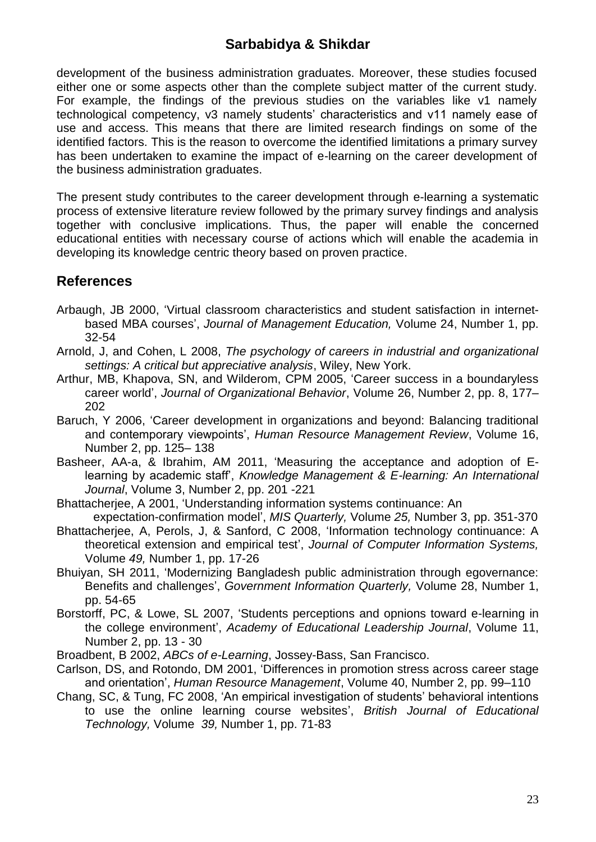development of the business administration graduates. Moreover, these studies focused either one or some aspects other than the complete subject matter of the current study. For example, the findings of the previous studies on the variables like v1 namely technological competency, v3 namely students' characteristics and v11 namely ease of use and access. This means that there are limited research findings on some of the identified factors. This is the reason to overcome the identified limitations a primary survey has been undertaken to examine the impact of e-learning on the career development of the business administration graduates.

The present study contributes to the career development through e-learning a systematic process of extensive literature review followed by the primary survey findings and analysis together with conclusive implications. Thus, the paper will enable the concerned educational entities with necessary course of actions which will enable the academia in developing its knowledge centric theory based on proven practice.

### **References**

- Arbaugh, JB 2000, 'Virtual classroom characteristics and student satisfaction in internetbased MBA courses', *Journal of Management Education,* Volume 24, Number 1, pp. 32-54
- Arnold, J, and Cohen, L 2008, *The psychology of careers in industrial and organizational settings: A critical but appreciative analysis*, Wiley, New York.
- Arthur, MB, Khapova, SN, and Wilderom, CPM 2005, 'Career success in a boundaryless career world', *Journal of Organizational Behavior*, Volume 26, Number 2, pp. 8, 177– 202
- Baruch, Y 2006, 'Career development in organizations and beyond: Balancing traditional and contemporary viewpoints', *Human Resource Management Review*, Volume 16, Number 2, pp. 125– 138
- Basheer, AA-a, & Ibrahim, AM 2011, 'Measuring the acceptance and adoption of Elearning by academic staff', *Knowledge Management & E-learning: An International Journal*, Volume 3, Number 2, pp. 201 -221
- Bhattacherjee, A 2001, 'Understanding information systems continuance: An expectation-confirmation model', *MIS Quarterly,* Volume *25,* Number 3, pp. 351-370
- Bhattacherjee, A, Perols, J, & Sanford, C 2008, 'Information technology continuance: A theoretical extension and empirical test', *Journal of Computer Information Systems,*  Volume *49,* Number 1, pp. 17-26
- Bhuiyan, SH 2011, 'Modernizing Bangladesh public administration through egovernance: Benefits and challenges', *Government Information Quarterly,* Volume 28, Number 1, pp. 54-65
- Borstorff, PC, & Lowe, SL 2007, 'Students perceptions and opnions toward e-learning in the college environment', *Academy of Educational Leadership Journal*, Volume 11, Number 2, pp. 13 - 30
- Broadbent, B 2002, *ABCs of e-Learning*, Jossey-Bass, San Francisco.
- Carlson, DS, and Rotondo, DM 2001, 'Differences in promotion stress across career stage and orientation', *Human Resource Management*, Volume 40, Number 2, pp. 99–110
- Chang, SC, & Tung, FC 2008, 'An empirical investigation of students' behavioral intentions to use the online learning course websites', *British Journal of Educational Technology,* Volume *39,* Number 1, pp. 71-83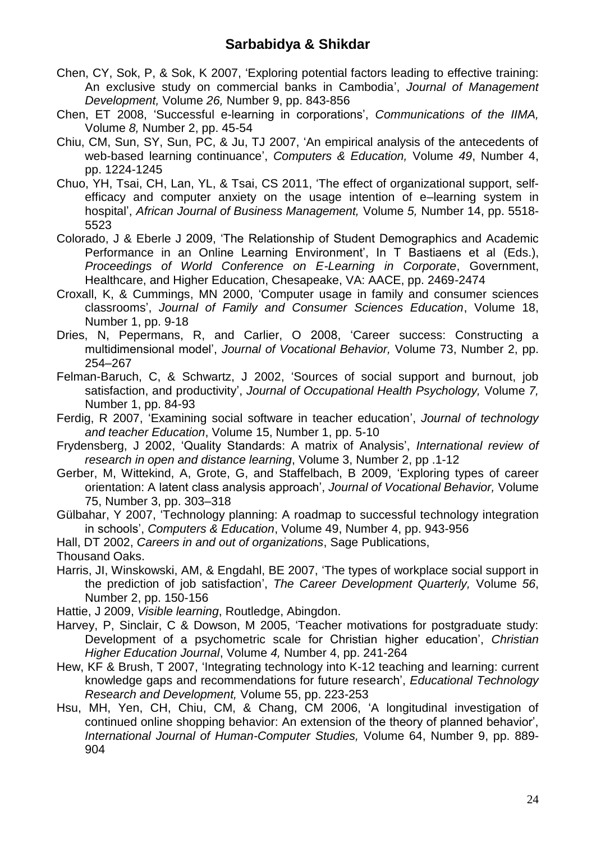- Chen, CY, Sok, P, & Sok, K 2007, 'Exploring potential factors leading to effective training: An exclusive study on commercial banks in Cambodia', *Journal of Management Development,* Volume *26,* Number 9, pp. 843-856
- Chen, ET 2008, 'Successful e-learning in corporations', *Communications of the IIMA,*  Volume *8,* Number 2, pp. 45-54
- Chiu, CM, Sun, SY, Sun, PC, & Ju, TJ 2007, 'An empirical analysis of the antecedents of web-based learning continuance', *Computers & Education,* Volume *49*, Number 4, pp. 1224-1245
- Chuo, YH, Tsai, CH, Lan, YL, & Tsai, CS 2011, 'The effect of organizational support, selfefficacy and computer anxiety on the usage intention of e–learning system in hospital', *African Journal of Business Management,* Volume *5,* Number 14, pp. 5518- 5523
- Colorado, J & Eberle J 2009, 'The Relationship of Student Demographics and Academic Performance in an Online Learning Environment', In T Bastiaens et al (Eds.), *Proceedings of World Conference on E-Learning in Corporate*, Government, Healthcare, and Higher Education, Chesapeake, VA: AACE, pp. 2469-2474
- Croxall, K, & Cummings, MN 2000, 'Computer usage in family and consumer sciences classrooms', *Journal of Family and Consumer Sciences Education*, Volume 18, Number 1, pp. 9-18
- Dries, N, Pepermans, R, and Carlier, O 2008, 'Career success: Constructing a multidimensional model', *Journal of Vocational Behavior,* Volume 73, Number 2, pp. 254–267
- Felman-Baruch, C, & Schwartz, J 2002, 'Sources of social support and burnout, job satisfaction, and productivity', *Journal of Occupational Health Psychology,* Volume *7,*  Number 1, pp. 84-93
- Ferdig, R 2007, 'Examining social software in teacher education', *Journal of technology and teacher Education*, Volume 15, Number 1, pp. 5-10
- Frydensberg, J 2002, 'Quality Standards: A matrix of Analysis', *International review of research in open and distance learning*, Volume 3, Number 2, pp .1-12
- Gerber, M, Wittekind, A, Grote, G, and Staffelbach, B 2009, 'Exploring types of career orientation: A latent class analysis approach', *Journal of Vocational Behavior,* Volume 75, Number 3, pp. 303–318
- Gülbahar, Y 2007, 'Technology planning: A roadmap to successful technology integration in schools', *Computers & Education*, Volume 49, Number 4, pp. 943-956

Hall, DT 2002, *Careers in and out of organizations*, Sage Publications,

Thousand Oaks.

Harris, JI, Winskowski, AM, & Engdahl, BE 2007, 'The types of workplace social support in the prediction of job satisfaction', *The Career Development Quarterly,* Volume *56*, Number 2, pp. 150-156

Hattie, J 2009, *Visible learning*, Routledge, Abingdon.

- Harvey, P, Sinclair, C & Dowson, M 2005, 'Teacher motivations for postgraduate study: Development of a psychometric scale for Christian higher education', *Christian Higher Education Journal*, Volume *4,* Number 4, pp. 241-264
- Hew, KF & Brush, T 2007, 'Integrating technology into K-12 teaching and learning: current knowledge gaps and recommendations for future research', *Educational Technology Research and Development,* Volume 55, pp. 223-253
- Hsu, MH, Yen, CH, Chiu, CM, & Chang, CM 2006, 'A longitudinal investigation of continued online shopping behavior: An extension of the theory of planned behavior', *International Journal of Human-Computer Studies,* Volume 64, Number 9, pp. 889- 904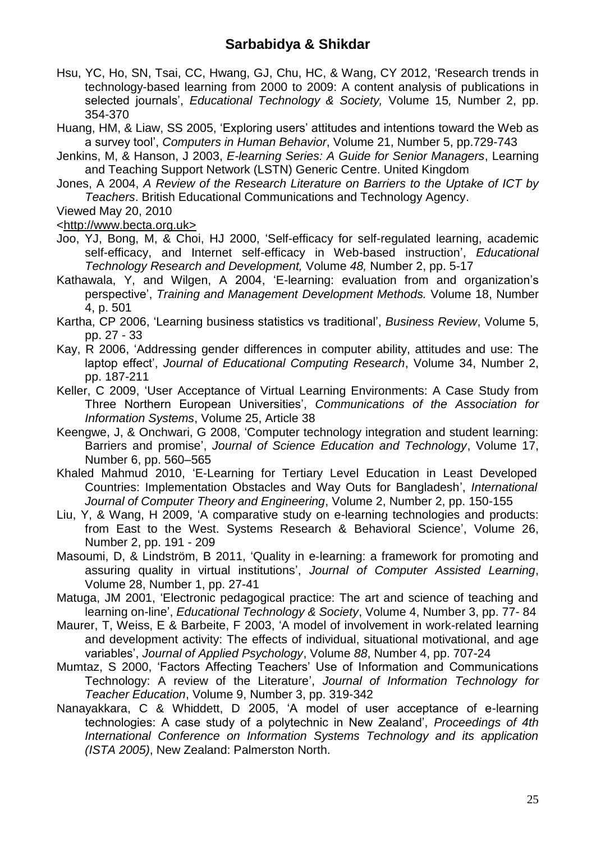- Hsu, YC, Ho, SN, Tsai, CC, Hwang, GJ, Chu, HC, & Wang, CY 2012, 'Research trends in technology-based learning from 2000 to 2009: A content analysis of publications in selected journals', *Educational Technology & Society,* Volume 15*,* Number 2, pp. 354-370
- Huang, HM, & Liaw, SS 2005, 'Exploring users' attitudes and intentions toward the Web as a survey tool', *Computers in Human Behavior*, Volume 21, Number 5, pp.729-743
- Jenkins, M, & Hanson, J 2003, *E-learning Series: A Guide for Senior Managers*, Learning and Teaching Support Network (LSTN) Generic Centre. United Kingdom
- Jones, A 2004, *A Review of the Research Literature on Barriers to the Uptake of ICT by Teachers*. British Educational Communications and Technology Agency.

Viewed May 20, 2010

[<http://www.becta.org.uk>](http://www.becta.org.uk/)

- Joo, YJ, Bong, M, & Choi, HJ 2000, 'Self-efficacy for self-regulated learning, academic self-efficacy, and Internet self-efficacy in Web-based instruction', *Educational Technology Research and Development,* Volume *48,* Number 2, pp. 5-17
- Kathawala, Y, and Wilgen, A 2004, 'E-learning: evaluation from and organization's perspective', *Training and Management Development Methods.* Volume 18, Number 4, p. 501
- Kartha, CP 2006, 'Learning business statistics vs traditional', *Business Review*, Volume 5, pp. 27 - 33
- Kay, R 2006, 'Addressing gender differences in computer ability, attitudes and use: The laptop effect', *Journal of Educational Computing Research*, Volume 34, Number 2, pp. 187-211
- Keller, C 2009, 'User Acceptance of Virtual Learning Environments: A Case Study from Three Northern European Universities', *Communications of the Association for Information Systems*, Volume 25, Article 38
- Keengwe, J, & Onchwari, G 2008, 'Computer technology integration and student learning: Barriers and promise', *Journal of Science Education and Technology*, Volume 17, Number 6, pp. 560–565
- Khaled Mahmud 2010, 'E-Learning for Tertiary Level Education in Least Developed Countries: Implementation Obstacles and Way Outs for Bangladesh', *International Journal of Computer Theory and Engineering*, Volume 2, Number 2, pp. 150-155
- Liu, Y, & Wang, H 2009, 'A comparative study on e-learning technologies and products: from East to the West. Systems Research & Behavioral Science', Volume 26, Number 2, pp. 191 - 209
- Masoumi, D, & Lindström, B 2011, 'Quality in e‐learning: a framework for promoting and assuring quality in virtual institutions', *Journal of Computer Assisted Learning*, Volume 28, Number 1, pp. 27-41
- Matuga, JM 2001, 'Electronic pedagogical practice: The art and science of teaching and learning on-line', *Educational Technology & Society*, Volume 4, Number 3, pp. 77- 84
- Maurer, T, Weiss, E & Barbeite, F 2003, 'A model of involvement in work-related learning and development activity: The effects of individual, situational motivational, and age variables', *Journal of Applied Psychology*, Volume *88*, Number 4, pp. 707-24
- Mumtaz, S 2000, 'Factors Affecting Teachers' Use of Information and Communications Technology: A review of the Literature', *Journal of Information Technology for Teacher Education*, Volume 9, Number 3, pp. 319-342
- Nanayakkara, C & Whiddett, D 2005, 'A model of user acceptance of e-learning technologies: A case study of a polytechnic in New Zealand', *Proceedings of 4th International Conference on Information Systems Technology and its application (ISTA 2005)*, New Zealand: Palmerston North.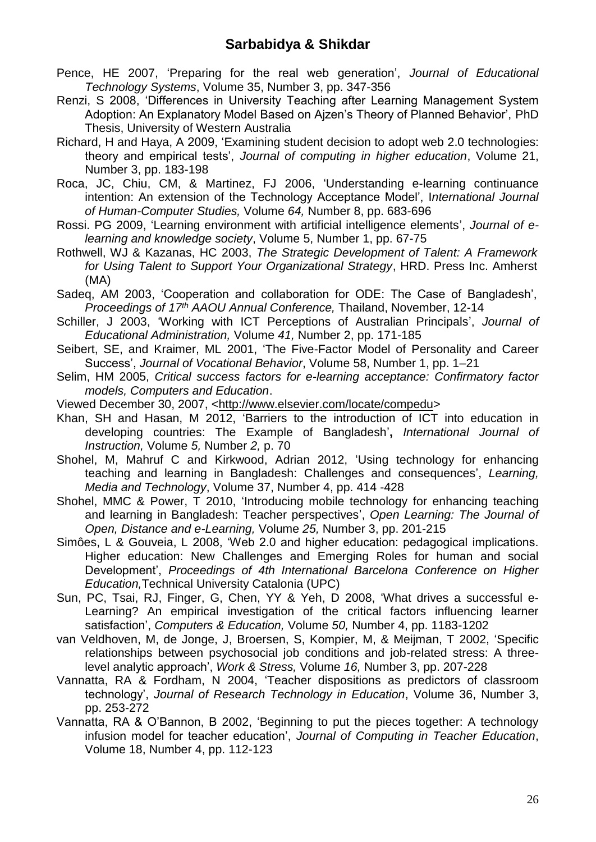- Pence, HE 2007, 'Preparing for the real web generation', *Journal of Educational Technology Systems*, Volume 35, Number 3, pp. 347-356
- Renzi, S 2008, 'Differences in University Teaching after Learning Management System Adoption: An Explanatory Model Based on Ajzen's Theory of Planned Behavior', PhD Thesis, University of Western Australia
- Richard, H and Haya, A 2009, 'Examining student decision to adopt web 2.0 technologies: theory and empirical tests', *Journal of computing in higher education*, Volume 21, Number 3, pp. 183-198
- Roca, JC, Chiu, CM, & Martinez, FJ 2006, 'Understanding e-learning continuance intention: An extension of the Technology Acceptance Model', I*nternational Journal of Human-Computer Studies,* Volume *64,* Number 8, pp. 683-696
- Rossi. PG 2009, 'Learning environment with artificial intelligence elements', *Journal of elearning and knowledge society*, Volume 5, Number 1, pp. 67-75
- Rothwell, WJ & Kazanas, HC 2003, *The Strategic Development of Talent: A Framework for Using Talent to Support Your Organizational Strategy*, HRD. Press Inc. Amherst (MA)
- Sadeq, AM 2003, 'Cooperation and collaboration for ODE: The Case of Bangladesh', *Proceedings of 17th AAOU Annual Conference,* Thailand, November, 12-14
- Schiller, J 2003, 'Working with ICT Perceptions of Australian Principals', *Journal of Educational Administration,* Volume *41,* Number 2, pp. 171-185
- Seibert, SE, and Kraimer, ML 2001, 'The Five-Factor Model of Personality and Career Success', *Journal of Vocational Behavior*, Volume 58, Number 1, pp. 1–21
- Selim, HM 2005, *Critical success factors for e-learning acceptance: Confirmatory factor models, Computers and Education*.
- Viewed December 30, 2007, [<http://www.elsevier.com/locate/compedu>](http://www.elsevier.com/locate/compedu)
- Khan, SH and Hasan, M 2012, 'Barriers to the introduction of ICT into education in developing countries: The Example of Bangladesh'**,** *International Journal of Instruction,* Volume *5,* Number *2,* p. 70
- Shohel, M, Mahruf C and Kirkwood, Adrian 2012, 'Using technology for enhancing teaching and learning in Bangladesh: Challenges and consequences', *Learning, Media and Technology*, Volume 37, Number 4, pp. 414 -428
- Shohel, MMC & Power, T 2010, 'Introducing mobile technology for enhancing teaching and learning in Bangladesh: Teacher perspectives', *Open Learning: The Journal of Open, Distance and e-Learning,* Volume *25,* Number 3, pp. 201-215
- Simôes, L & Gouveia, L 2008, 'Web 2.0 and higher education: pedagogical implications. Higher education: New Challenges and Emerging Roles for human and social Development', *Proceedings of 4th International Barcelona Conference on Higher Education,*Technical University Catalonia (UPC)
- Sun, PC, Tsai, RJ, Finger, G, Chen, YY & Yeh, D 2008, 'What drives a successful e-Learning? An empirical investigation of the critical factors influencing learner satisfaction', *Computers & Education,* Volume *50,* Number 4, pp. 1183-1202
- van Veldhoven, M, de Jonge, J, Broersen, S, Kompier, M, & Meijman, T 2002, 'Specific relationships between psychosocial job conditions and job-related stress: A threelevel analytic approach', *Work & Stress,* Volume *16,* Number 3, pp. 207-228
- Vannatta, RA & Fordham, N 2004, 'Teacher dispositions as predictors of classroom technology', *Journal of Research Technology in Education*, Volume 36, Number 3, pp. 253-272
- Vannatta, RA & O'Bannon, B 2002, 'Beginning to put the pieces together: A technology infusion model for teacher education', *Journal of Computing in Teacher Education*, Volume 18, Number 4, pp. 112-123